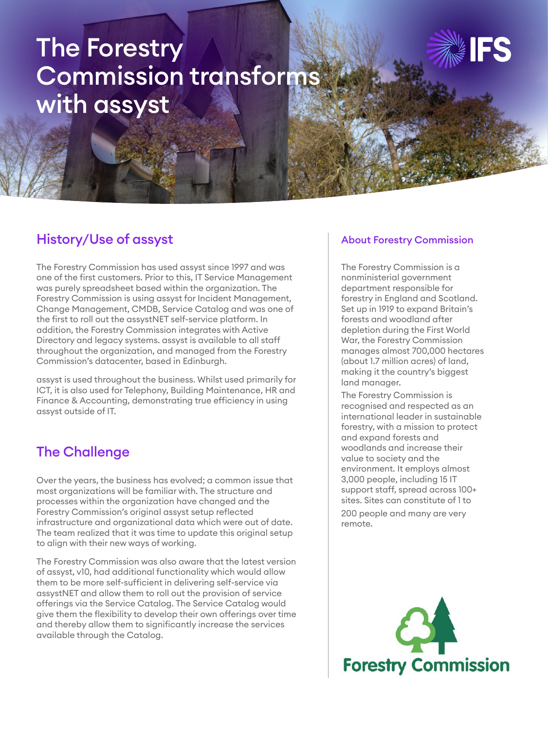# The Forestry Commission transforms with assyst



## History/Use of assyst

The Forestry Commission has used assyst since 1997 and was one of the first customers. Prior to this, IT Service Management was purely spreadsheet based within the organization. The Forestry Commission is using assyst for Incident Management, Change Management, CMDB, Service Catalog and was one of the first to roll out the assystNET self-service platform. In addition, the Forestry Commission integrates with Active Directory and legacy systems. assyst is available to all staff throughout the organization, and managed from the Forestry Commission's datacenter, based in Edinburgh.

assyst is used throughout the business. Whilst used primarily for ICT, it is also used for Telephony, Building Maintenance, HR and Finance & Accounting, demonstrating true efficiency in using assyst outside of IT.

# The Challenge

Over the years, the business has evolved; a common issue that most organizations will be familiar with. The structure and processes within the organization have changed and the Forestry Commission's original assyst setup reflected infrastructure and organizational data which were out of date. The team realized that it was time to update this original setup to align with their new ways of working.

The Forestry Commission was also aware that the latest version of assyst, v10, had additional functionality which would allow them to be more self-sufficient in delivering self-service via assystNET and allow them to roll out the provision of service offerings via the Service Catalog. The Service Catalog would give them the flexibility to develop their own offerings over time and thereby allow them to significantly increase the services available through the Catalog.

#### About Forestry Commission

The Forestry Commission is a nonministerial government department responsible for forestry in England and Scotland. Set up in 1919 to expand Britain's forests and woodland after depletion during the First World War, the Forestry Commission manages almost 700,000 hectares (about 1.7 million acres) of land, making it the country's biggest land manager.

The Forestry Commission is recognised and respected as an international leader in sustainable forestry, with a mission to protect and expand forests and woodlands and increase their value to society and the environment. It employs almost 3,000 people, including 15 IT support staff, spread across 100+ sites. Sites can constitute of 1 to 200 people and many are very

remote.